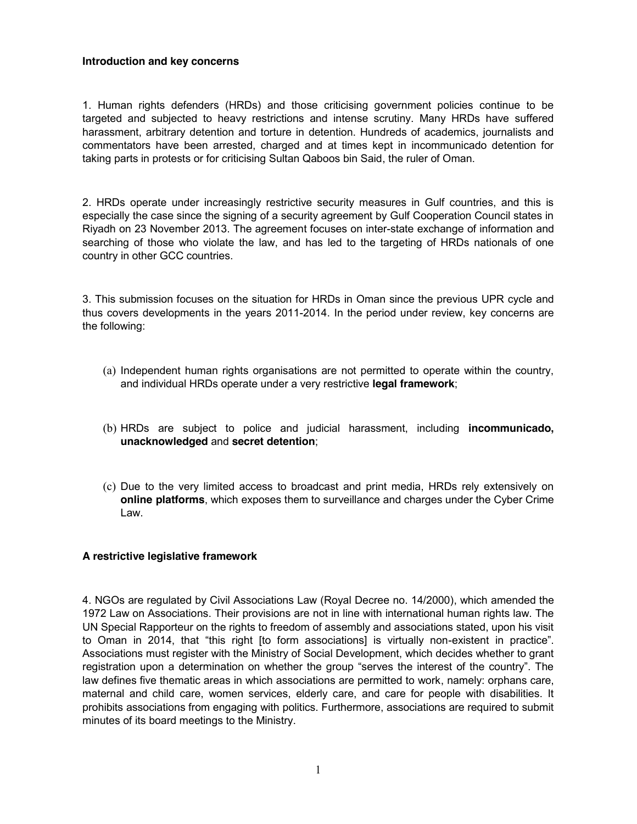### **Introduction and key concerns**

1. Human rights defenders (HRDs) and those criticising government policies continue to be targeted and subjected to heavy restrictions and intense scrutiny. Many HRDs have suffered harassment, arbitrary detention and torture in detention. Hundreds of academics, journalists and commentators have been arrested, charged and at times kept in incommunicado detention for taking parts in protests or for criticising Sultan Qaboos bin Said, the ruler of Oman.

2. HRDs operate under increasingly restrictive security measures in Gulf countries, and this is especially the case since the signing of a security agreement by Gulf Cooperation Council states in Riyadh on 23 November 2013. The agreement focuses on inter-state exchange of information and searching of those who violate the law, and has led to the targeting of HRDs nationals of one country in other GCC countries.

3. This submission focuses on the situation for HRDs in Oman since the previous UPR cycle and thus covers developments in the years 2011-2014. In the period under review, key concerns are the following:

- (a) Independent human rights organisations are not permitted to operate within the country, and individual HRDs operate under a very restrictive **legal framework**;
- (b) HRDs are subject to police and judicial harassment, including **incommunicado, unacknowledged** and **secret detention**;
- (c) Due to the very limited access to broadcast and print media, HRDs rely extensively on **online platforms**, which exposes them to surveillance and charges under the Cyber Crime Law.

# **A restrictive legislative framework**

4. NGOs are regulated by Civil Associations Law (Royal Decree no. 14/2000), which amended the 1972 Law on Associations. Their provisions are not in line with international human rights law. The UN Special Rapporteur on the rights to freedom of assembly and associations stated, upon his visit to Oman in 2014, that "this right [to form associations] is virtually non-existent in practice". Associations must register with the Ministry of Social Development, which decides whether to grant registration upon a determination on whether the group "serves the interest of the country". The law defines five thematic areas in which associations are permitted to work, namely: orphans care, maternal and child care, women services, elderly care, and care for people with disabilities. It prohibits associations from engaging with politics. Furthermore, associations are required to submit minutes of its board meetings to the Ministry.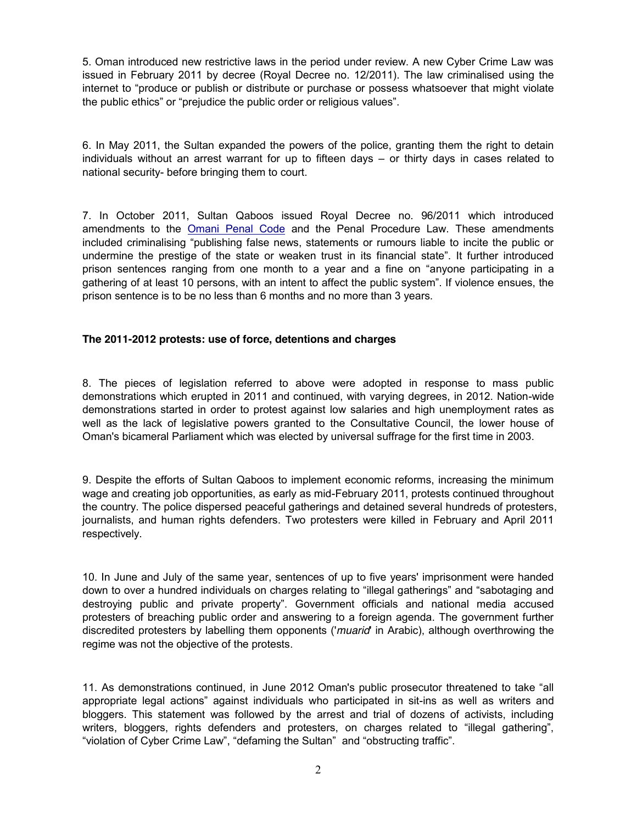5. Oman introduced new restrictive laws in the period under review. A new Cyber Crime Law was issued in February 2011 by decree (Royal Decree no. 12/2011). The law criminalised using the internet to "produce or publish or distribute or purchase or possess whatsoever that might violate the public ethics" or "prejudice the public order or religious values".

6. In May 2011, the Sultan expanded the powers of the police, granting them the right to detain individuals without an arrest warrant for up to fifteen days – or thirty days in cases related to national security- before bringing them to court.

7. In October 2011, Sultan Qaboos issued Royal Decree no. 96/2011 which introduced amendments to the Omani Penal Code and the Penal Procedure Law. These amendments included criminalising "publishing false news, statements or rumours liable to incite the public or undermine the prestige of the state or weaken trust in its financial state". It further introduced prison sentences ranging from one month to a year and a fine on "anyone participating in a gathering of at least 10 persons, with an intent to affect the public system". If violence ensues, the prison sentence is to be no less than 6 months and no more than 3 years.

# **The 2011-2012 protests: use of force, detentions and charges**

8. The pieces of legislation referred to above were adopted in response to mass public demonstrations which erupted in 2011 and continued, with varying degrees, in 2012. Nation-wide demonstrations started in order to protest against low salaries and high unemployment rates as well as the lack of legislative powers granted to the Consultative Council, the lower house of Oman's bicameral Parliament which was elected by universal suffrage for the first time in 2003.

9. Despite the efforts of Sultan Qaboos to implement economic reforms, increasing the minimum wage and creating job opportunities, as early as mid-February 2011, protests continued throughout the country. The police dispersed peaceful gatherings and detained several hundreds of protesters, journalists, and human rights defenders. Two protesters were killed in February and April 2011 respectively.

10. In June and July of the same year, sentences of up to five years' imprisonment were handed down to over a hundred individuals on charges relating to "illegal gatherings" and "sabotaging and destroying public and private property". Government officials and national media accused protesters of breaching public order and answering to a foreign agenda. The government further discredited protesters by labelling them opponents ('*muarid*' in Arabic), although overthrowing the regime was not the objective of the protests.

11. As demonstrations continued, in June 2012 Oman's public prosecutor threatened to take "all appropriate legal actions" against individuals who participated in sit-ins as well as writers and bloggers. This statement was followed by the arrest and trial of dozens of activists, including writers, bloggers, rights defenders and protesters, on charges related to "illegal gathering", "violation of Cyber Crime Law", "defaming the Sultan" and "obstructing traffic".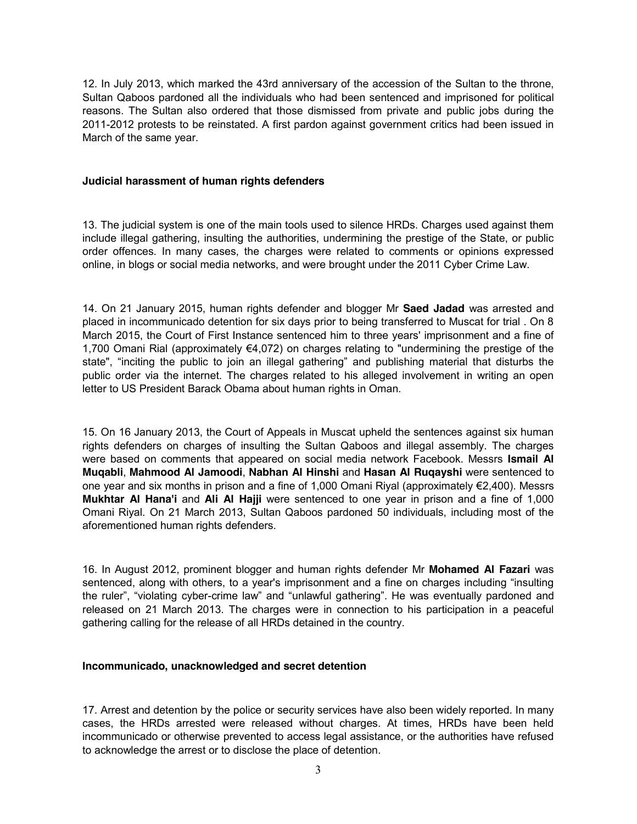12. In July 2013, which marked the 43rd anniversary of the accession of the Sultan to the throne, Sultan Qaboos pardoned all the individuals who had been sentenced and imprisoned for political reasons. The Sultan also ordered that those dismissed from private and public jobs during the 2011-2012 protests to be reinstated. A first pardon against government critics had been issued in March of the same year.

#### **Judicial harassment of human rights defenders**

13. The judicial system is one of the main tools used to silence HRDs. Charges used against them include illegal gathering, insulting the authorities, undermining the prestige of the State, or public order offences. In many cases, the charges were related to comments or opinions expressed online, in blogs or social media networks, and were brought under the 2011 Cyber Crime Law.

14. On 21 January 2015, human rights defender and blogger Mr **Saed Jadad** was arrested and placed in incommunicado detention for six days prior to being transferred to Muscat for trial . On 8 March 2015, the Court of First Instance sentenced him to three years' imprisonment and a fine of 1,700 Omani Rial (approximately €4,072) on charges relating to "undermining the prestige of the state", "inciting the public to join an illegal gathering" and publishing material that disturbs the public order via the internet. The charges related to his alleged involvement in writing an open letter to US President Barack Obama about human rights in Oman.

15. On 16 January 2013, the Court of Appeals in Muscat upheld the sentences against six human rights defenders on charges of insulting the Sultan Qaboos and illegal assembly. The charges were based on comments that appeared on social media network Facebook. Messrs **Ismail Al Muqabli**, **Mahmood Al Jamoodi**, **Nabhan Al Hinshi** and **Hasan Al Ruqayshi** were sentenced to one year and six months in prison and a fine of 1,000 Omani Riyal (approximately €2,400). Messrs **Mukhtar Al Hana'i** and **Ali Al Hajji** were sentenced to one year in prison and a fine of 1,000 Omani Riyal. On 21 March 2013, Sultan Qaboos pardoned 50 individuals, including most of the aforementioned human rights defenders.

16. In August 2012, prominent blogger and human rights defender Mr **Mohamed Al Fazari** was sentenced, along with others, to a year's imprisonment and a fine on charges including "insulting the ruler", "violating cyber-crime law" and "unlawful gathering". He was eventually pardoned and released on 21 March 2013. The charges were in connection to his participation in a peaceful gathering calling for the release of all HRDs detained in the country.

### **Incommunicado, unacknowledged and secret detention**

17. Arrest and detention by the police or security services have also been widely reported. In many cases, the HRDs arrested were released without charges. At times, HRDs have been held incommunicado or otherwise prevented to access legal assistance, or the authorities have refused to acknowledge the arrest or to disclose the place of detention.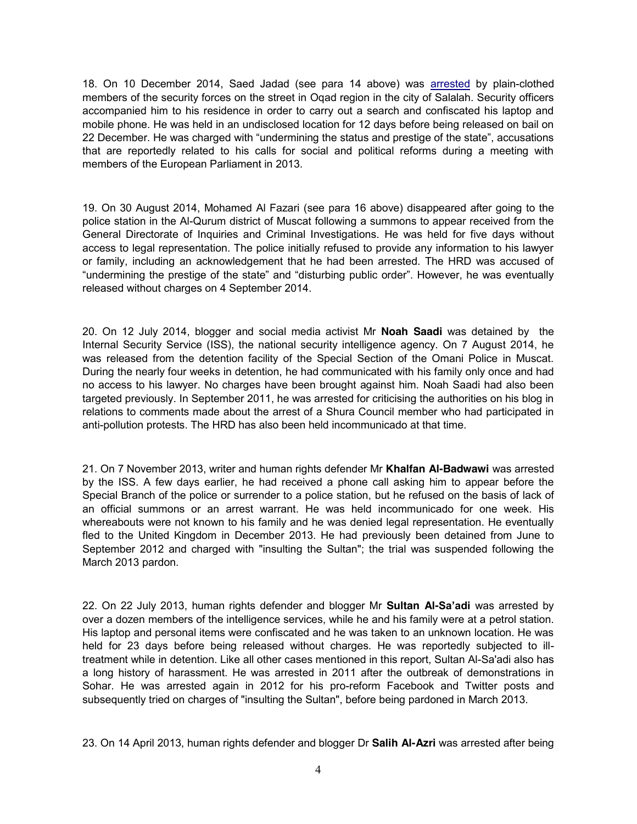18. On 10 December 2014, Saed Jadad (see para 14 above) was arrested by plain-clothed members of the security forces on the street in Oqad region in the city of Salalah. Security officers accompanied him to his residence in order to carry out a search and confiscated his laptop and mobile phone. He was held in an undisclosed location for 12 days before being released on bail on 22 December. He was charged with "undermining the status and prestige of the state", accusations that are reportedly related to his calls for social and political reforms during a meeting with members of the European Parliament in 2013.

19. On 30 August 2014, Mohamed Al Fazari (see para 16 above) disappeared after going to the police station in the Al-Qurum district of Muscat following a summons to appear received from the General Directorate of Inquiries and Criminal Investigations. He was held for five days without access to legal representation. The police initially refused to provide any information to his lawyer or family, including an acknowledgement that he had been arrested. The HRD was accused of "undermining the prestige of the state" and "disturbing public order". However, he was eventually released without charges on 4 September 2014.

20. On 12 July 2014, blogger and social media activist Mr **Noah Saadi** was detained by the Internal Security Service (ISS), the national security intelligence agency. On 7 August 2014, he was released from the detention facility of the Special Section of the Omani Police in Muscat. During the nearly four weeks in detention, he had communicated with his family only once and had no access to his lawyer. No charges have been brought against him. Noah Saadi had also been targeted previously. In September 2011, he was arrested for criticising the authorities on his blog in relations to comments made about the arrest of a Shura Council member who had participated in anti-pollution protests. The HRD has also been held incommunicado at that time.

21. On 7 November 2013, writer and human rights defender Mr **Khalfan Al-Badwawi** was arrested by the ISS. A few days earlier, he had received a phone call asking him to appear before the Special Branch of the police or surrender to a police station, but he refused on the basis of lack of an official summons or an arrest warrant. He was held incommunicado for one week. His whereabouts were not known to his family and he was denied legal representation. He eventually fled to the United Kingdom in December 2013. He had previously been detained from June to September 2012 and charged with "insulting the Sultan"; the trial was suspended following the March 2013 pardon.

22. On 22 July 2013, human rights defender and blogger Mr **Sultan Al-Sa'adi** was arrested by over a dozen members of the intelligence services, while he and his family were at a petrol station. His laptop and personal items were confiscated and he was taken to an unknown location. He was held for 23 days before being released without charges. He was reportedly subjected to illtreatment while in detention. Like all other cases mentioned in this report, Sultan Al-Sa'adi also has a long history of harassment. He was arrested in 2011 after the outbreak of demonstrations in Sohar. He was arrested again in 2012 for his pro-reform Facebook and Twitter posts and subsequently tried on charges of "insulting the Sultan", before being pardoned in March 2013.

23. On 14 April 2013, human rights defender and blogger Dr **Salih Al-Azri** was arrested after being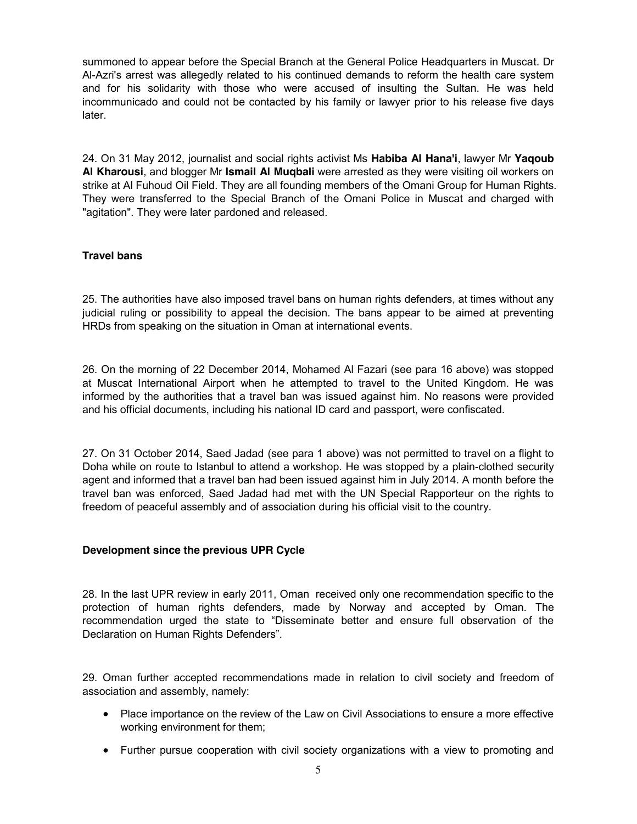summoned to appear before the Special Branch at the General Police Headquarters in Muscat. Dr Al-Azri's arrest was allegedly related to his continued demands to reform the health care system and for his solidarity with those who were accused of insulting the Sultan. He was held incommunicado and could not be contacted by his family or lawyer prior to his release five days later.

24. On 31 May 2012, journalist and social rights activist Ms **Habiba Al Hana'i**, lawyer Mr **Yaqoub Al Kharousi**, and blogger Mr **Ismail Al Muqbali** were arrested as they were visiting oil workers on strike at Al Fuhoud Oil Field. They are all founding members of the Omani Group for Human Rights. They were transferred to the Special Branch of the Omani Police in Muscat and charged with "agitation". They were later pardoned and released.

# **Travel bans**

25. The authorities have also imposed travel bans on human rights defenders, at times without any judicial ruling or possibility to appeal the decision. The bans appear to be aimed at preventing HRDs from speaking on the situation in Oman at international events.

26. On the morning of 22 December 2014, Mohamed Al Fazari (see para 16 above) was stopped at Muscat International Airport when he attempted to travel to the United Kingdom. He was informed by the authorities that a travel ban was issued against him. No reasons were provided and his official documents, including his national ID card and passport, were confiscated.

27. On 31 October 2014, Saed Jadad (see para 1 above) was not permitted to travel on a flight to Doha while on route to Istanbul to attend a workshop. He was stopped by a plain-clothed security agent and informed that a travel ban had been issued against him in July 2014. A month before the travel ban was enforced, Saed Jadad had met with the UN Special Rapporteur on the rights to freedom of peaceful assembly and of association during his official visit to the country.

# **Development since the previous UPR Cycle**

28. In the last UPR review in early 2011, Oman received only one recommendation specific to the protection of human rights defenders, made by Norway and accepted by Oman. The recommendation urged the state to "Disseminate better and ensure full observation of the Declaration on Human Rights Defenders".

29. Oman further accepted recommendations made in relation to civil society and freedom of association and assembly, namely:

- Place importance on the review of the Law on Civil Associations to ensure a more effective working environment for them;
- Further pursue cooperation with civil society organizations with a view to promoting and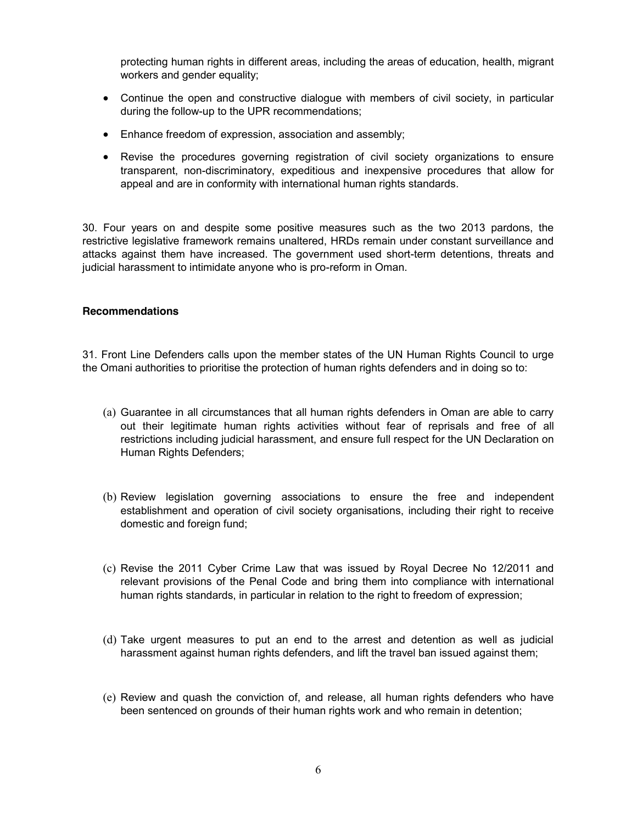protecting human rights in different areas, including the areas of education, health, migrant workers and gender equality;

- Continue the open and constructive dialogue with members of civil society, in particular during the follow-up to the UPR recommendations;
- Enhance freedom of expression, association and assembly;
- Revise the procedures governing registration of civil society organizations to ensure transparent, non-discriminatory, expeditious and inexpensive procedures that allow for appeal and are in conformity with international human rights standards.

30. Four years on and despite some positive measures such as the two 2013 pardons, the restrictive legislative framework remains unaltered, HRDs remain under constant surveillance and attacks against them have increased. The government used short-term detentions, threats and judicial harassment to intimidate anyone who is pro-reform in Oman.

### **Recommendations**

31. Front Line Defenders calls upon the member states of the UN Human Rights Council to urge the Omani authorities to prioritise the protection of human rights defenders and in doing so to:

- (a) Guarantee in all circumstances that all human rights defenders in Oman are able to carry out their legitimate human rights activities without fear of reprisals and free of all restrictions including judicial harassment, and ensure full respect for the UN Declaration on Human Rights Defenders;
- (b) Review legislation governing associations to ensure the free and independent establishment and operation of civil society organisations, including their right to receive domestic and foreign fund;
- (c) Revise the 2011 Cyber Crime Law that was issued by Royal Decree No 12/2011 and relevant provisions of the Penal Code and bring them into compliance with international human rights standards, in particular in relation to the right to freedom of expression;
- (d) Take urgent measures to put an end to the arrest and detention as well as judicial harassment against human rights defenders, and lift the travel ban issued against them;
- (e) Review and quash the conviction of, and release, all human rights defenders who have been sentenced on grounds of their human rights work and who remain in detention;